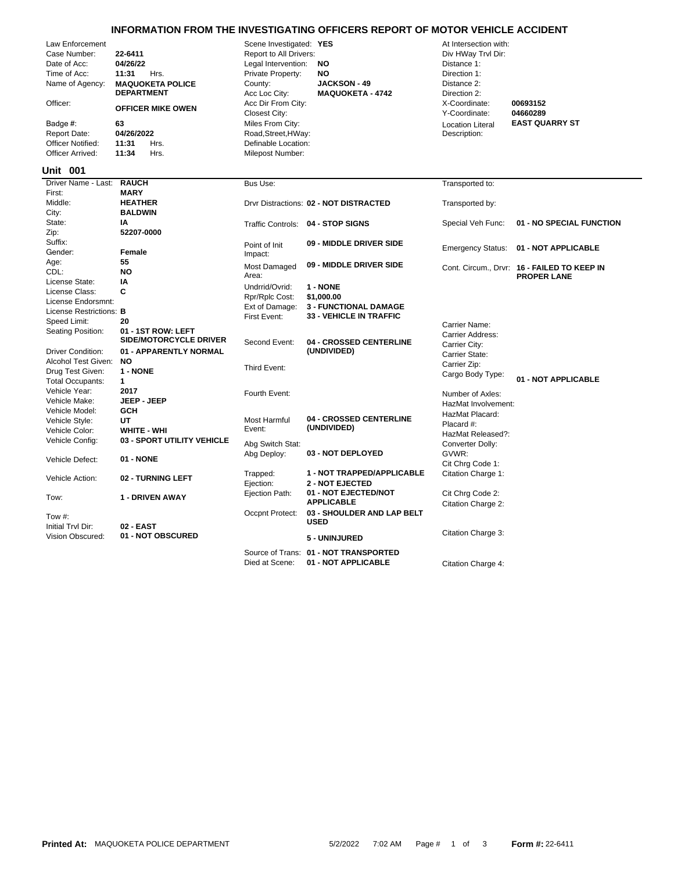## **INFORMATION FROM THE INVESTIGATING OFFICERS REPORT OF MOTOR VEHICLE ACCIDENT**

|                                   |                                              |                                     | <u>INFORMATION FROM THE INVESTIGATING OFFICERS REPORT OF MOTOR VEHICLE ACCIDENT</u> |                                |                                             |
|-----------------------------------|----------------------------------------------|-------------------------------------|-------------------------------------------------------------------------------------|--------------------------------|---------------------------------------------|
| Law Enforcement                   |                                              | Scene Investigated: YES             |                                                                                     | At Intersection with:          |                                             |
| Case Number:                      | 22-6411                                      | Report to All Drivers:              |                                                                                     | Div HWay Trvl Dir:             |                                             |
| Date of Acc:                      | 04/26/22                                     | Legal Intervention:                 | NO                                                                                  | Distance 1:                    |                                             |
| Time of Acc:                      | 11:31<br>Hrs.                                | Private Property:                   | NO                                                                                  | Direction 1:                   |                                             |
| Name of Agency:                   | <b>MAQUOKETA POLICE</b><br><b>DEPARTMENT</b> | County:<br>Acc Loc City:            | <b>JACKSON - 49</b><br><b>MAQUOKETA - 4742</b>                                      | Distance 2:<br>Direction 2:    |                                             |
| Officer:                          | <b>OFFICER MIKE OWEN</b>                     | Acc Dir From City:<br>Closest City: |                                                                                     | X-Coordinate:<br>Y-Coordinate: | 00693152<br>04660289                        |
| Badge #:                          | 63                                           | Miles From City:                    |                                                                                     | <b>Location Literal</b>        | <b>EAST QUARRY ST</b>                       |
| <b>Report Date:</b>               | 04/26/2022                                   | Road, Street, HWay:                 |                                                                                     | Description:                   |                                             |
| Officer Notified:                 | 11:31<br>Hrs.                                | Definable Location:                 |                                                                                     |                                |                                             |
| Officer Arrived:                  | 11:34<br>Hrs.                                | Milepost Number:                    |                                                                                     |                                |                                             |
| <b>Unit 001</b>                   |                                              |                                     |                                                                                     |                                |                                             |
| Driver Name - Last:               | <b>RAUCH</b>                                 |                                     |                                                                                     |                                |                                             |
| First:                            | <b>MARY</b>                                  | Bus Use:                            |                                                                                     | Transported to:                |                                             |
| Middle:                           | <b>HEATHER</b>                               |                                     |                                                                                     |                                |                                             |
| City:                             | <b>BALDWIN</b>                               |                                     | Drvr Distractions: 02 - NOT DISTRACTED                                              | Transported by:                |                                             |
| State:                            | ΙA                                           |                                     |                                                                                     |                                |                                             |
|                                   | 52207-0000                                   | <b>Traffic Controls:</b>            | 04 - STOP SIGNS                                                                     | Special Veh Func:              | 01 - NO SPECIAL FUNCTION                    |
| Zip:<br>Suffix:                   |                                              |                                     |                                                                                     |                                |                                             |
| Gender:                           | Female                                       | Point of Init                       | 09 - MIDDLE DRIVER SIDE                                                             | <b>Emergency Status:</b>       | 01 - NOT APPLICABLE                         |
|                                   | 55                                           | Impact:                             |                                                                                     |                                |                                             |
| Age:<br>CDL:                      | <b>NO</b>                                    | Most Damaged                        | 09 - MIDDLE DRIVER SIDE                                                             |                                | Cont. Circum., Drvr: 16 - FAILED TO KEEP IN |
| License State:                    | I٨                                           | Area:                               |                                                                                     |                                | <b>PROPER LANE</b>                          |
| License Class:                    | C                                            | Undrrid/Ovrid:                      | 1 - NONE                                                                            |                                |                                             |
| License Endorsmnt:                |                                              | Rpr/Rplc Cost:                      | \$1,000.00                                                                          |                                |                                             |
| License Restrictions: B           |                                              | Ext of Damage:                      | <b>3 - FUNCTIONAL DAMAGE</b>                                                        |                                |                                             |
|                                   | 20                                           | First Event:                        | <b>33 - VEHICLE IN TRAFFIC</b>                                                      |                                |                                             |
| Speed Limit:<br>Seating Position: | 01 - 1ST ROW: LEFT                           |                                     |                                                                                     | Carrier Name:                  |                                             |
|                                   | <b>SIDE/MOTORCYCLE DRIVER</b>                | Second Event:                       | <b>04 - CROSSED CENTERLINE</b>                                                      | Carrier Address:               |                                             |
| <b>Driver Condition:</b>          | 01 - APPARENTLY NORMAL                       |                                     | (UNDIVIDED)                                                                         | Carrier City:                  |                                             |
| Alcohol Test Given:               | <b>NO</b>                                    |                                     |                                                                                     | Carrier State:                 |                                             |
| Drug Test Given:                  | 1 - NONE                                     | Third Event:                        |                                                                                     | Carrier Zip:                   |                                             |
| <b>Total Occupants:</b>           | $\mathbf{1}$                                 |                                     |                                                                                     | Cargo Body Type:               | 01 - NOT APPLICABLE                         |
| Vehicle Year:                     | 2017                                         |                                     |                                                                                     |                                |                                             |
| Vehicle Make:                     | <b>JEEP - JEEP</b>                           | Fourth Event:                       |                                                                                     | Number of Axles:               |                                             |
| Vehicle Model:                    | <b>GCH</b>                                   |                                     |                                                                                     | HazMat Involvement:            |                                             |
| Vehicle Style:                    | UT                                           | <b>Most Harmful</b>                 | 04 - CROSSED CENTERLINE                                                             | HazMat Placard:                |                                             |
| Vehicle Color:                    | <b>WHITE - WHI</b>                           | Event:                              | (UNDIVIDED)                                                                         | Placard #:                     |                                             |
| Vehicle Config:                   | 03 - SPORT UTILITY VEHICLE                   |                                     |                                                                                     | HazMat Released?:              |                                             |
|                                   |                                              | Abg Switch Stat:                    |                                                                                     | Converter Dolly:               |                                             |
| Vehicle Defect:                   | 01 - NONE                                    | Abg Deploy:                         | 03 - NOT DEPLOYED                                                                   | GVWR:                          |                                             |
|                                   |                                              |                                     |                                                                                     | Cit Chrq Code 1:               |                                             |
| Vehicle Action:                   | 02 - TURNING LEFT                            | Trapped:                            | 1 - NOT TRAPPED/APPLICABLE                                                          | Citation Charge 1:             |                                             |
|                                   |                                              | Ejection:                           | <b>2 - NOT EJECTED</b>                                                              |                                |                                             |
| Tow:                              | <b>1 - DRIVEN AWAY</b>                       | Ejection Path:                      | 01 - NOT EJECTED/NOT<br><b>APPLICABLE</b>                                           | Cit Chrg Code 2:               |                                             |
|                                   |                                              |                                     |                                                                                     | Citation Charge 2:             |                                             |
| Tow $#$ :                         |                                              | Occpnt Protect:                     | 03 - SHOULDER AND LAP BELT<br><b>USED</b>                                           |                                |                                             |
| Initial Tryl Dir:                 | 02 - EAST                                    |                                     |                                                                                     |                                |                                             |
| Vision Obscured:                  | 01 - NOT OBSCURED                            |                                     | 5 - UNINJURED                                                                       | Citation Charge 3:             |                                             |
|                                   |                                              |                                     |                                                                                     |                                |                                             |

Source of Trans: **01 - NOT TRANSPORTED**

Died at Scene: **01 - NOT APPLICABLE** Citation Charge 4: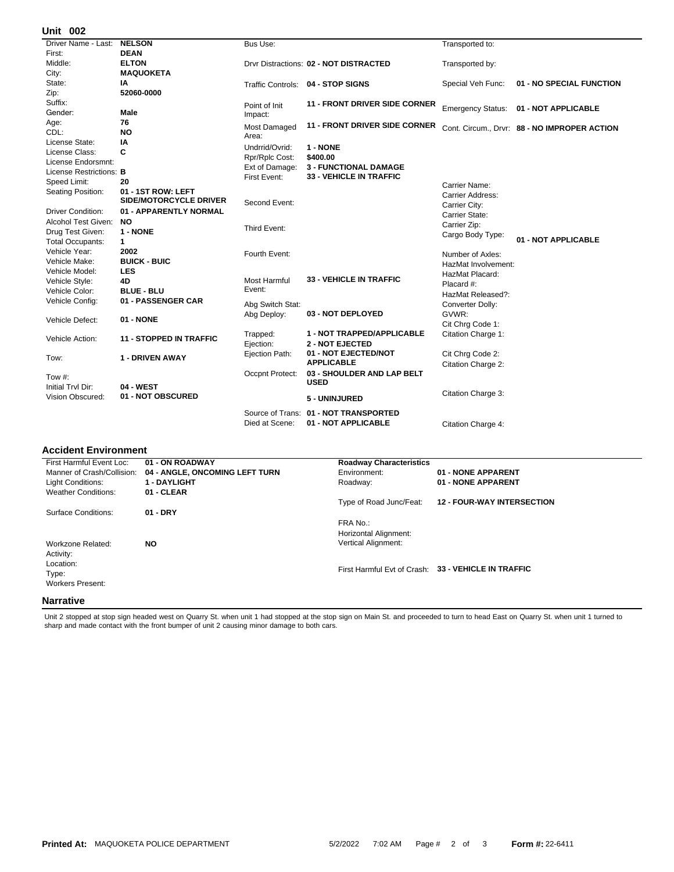## **002 Unit**

| UIIIL VV <del>L</del>    |                                |                       |                                                                |                           |                                              |
|--------------------------|--------------------------------|-----------------------|----------------------------------------------------------------|---------------------------|----------------------------------------------|
| Driver Name - Last:      | <b>NELSON</b>                  | Bus Use:              |                                                                | Transported to:           |                                              |
| First:                   | <b>DEAN</b>                    |                       |                                                                |                           |                                              |
| Middle:                  | <b>ELTON</b>                   |                       | Drvr Distractions: 02 - NOT DISTRACTED                         | Transported by:           |                                              |
| City:                    | <b>MAQUOKETA</b>               |                       |                                                                |                           |                                              |
| State:                   | IA                             |                       | Traffic Controls: 04 - STOP SIGNS                              | Special Veh Func:         | 01 - NO SPECIAL FUNCTION                     |
| Zip:                     | 52060-0000                     |                       |                                                                |                           |                                              |
| Suffix:                  |                                | Point of Init         | <b>11 - FRONT DRIVER SIDE CORNER</b>                           |                           |                                              |
| Gender:                  | <b>Male</b>                    | Impact:               |                                                                |                           | Emergency Status: 01 - NOT APPLICABLE        |
| Age:                     | 76                             | Most Damaged          | <b>11 - FRONT DRIVER SIDE CORNER</b>                           |                           |                                              |
| CDL:                     | <b>NO</b>                      | Area:                 |                                                                |                           | Cont. Circum., Drvr: 88 - NO IMPROPER ACTION |
| License State:           | ΙA                             | Undrrid/Ovrid:        | 1 - NONE                                                       |                           |                                              |
| License Class:           | C                              |                       |                                                                |                           |                                              |
| License Endorsmnt:       |                                | Rpr/Rplc Cost:        | \$400.00                                                       |                           |                                              |
| License Restrictions: B  |                                | Ext of Damage:        | <b>3 - FUNCTIONAL DAMAGE</b><br><b>33 - VEHICLE IN TRAFFIC</b> |                           |                                              |
| Speed Limit:             | 20                             | First Event:          |                                                                | Carrier Name:             |                                              |
| Seating Position:        | 01 - 1ST ROW: LEFT             |                       |                                                                | Carrier Address:          |                                              |
|                          | <b>SIDE/MOTORCYCLE DRIVER</b>  | Second Event:         |                                                                | Carrier City:             |                                              |
| <b>Driver Condition:</b> | 01 - APPARENTLY NORMAL         |                       |                                                                | Carrier State:            |                                              |
| Alcohol Test Given:      | <b>NO</b>                      |                       |                                                                | Carrier Zip:              |                                              |
| Drug Test Given:         | 1 - NONE                       | Third Event:          |                                                                | Cargo Body Type:          |                                              |
| <b>Total Occupants:</b>  | $\mathbf{1}$                   |                       |                                                                |                           | 01 - NOT APPLICABLE                          |
| Vehicle Year:            | 2002                           | Fourth Event:         |                                                                | Number of Axles:          |                                              |
| Vehicle Make:            | <b>BUICK - BUIC</b>            |                       |                                                                | HazMat Involvement:       |                                              |
| Vehicle Model:           | <b>LES</b>                     |                       |                                                                | HazMat Placard:           |                                              |
| Vehicle Style:           | 4D                             | Most Harmful          | <b>33 - VEHICLE IN TRAFFIC</b>                                 | Placard #:                |                                              |
| Vehicle Color:           | <b>BLUE - BLU</b>              | Event:                |                                                                | HazMat Released?:         |                                              |
| Vehicle Config:          | 01 - PASSENGER CAR             |                       |                                                                |                           |                                              |
|                          |                                | Abg Switch Stat:      | 03 - NOT DEPLOYED                                              | Converter Dolly:<br>GVWR: |                                              |
| Vehicle Defect:          | 01 - NONE                      | Abg Deploy:           |                                                                | Cit Chrg Code 1:          |                                              |
|                          |                                |                       | 1 - NOT TRAPPED/APPLICABLE                                     |                           |                                              |
| Vehicle Action:          | <b>11 - STOPPED IN TRAFFIC</b> | Trapped:<br>Ejection: | <b>2 - NOT EJECTED</b>                                         | Citation Charge 1:        |                                              |
|                          |                                |                       | 01 - NOT EJECTED/NOT                                           |                           |                                              |
| Tow:                     | <b>1 - DRIVEN AWAY</b>         | Ejection Path:        | <b>APPLICABLE</b>                                              | Cit Chrg Code 2:          |                                              |
|                          |                                |                       |                                                                | Citation Charge 2:        |                                              |
| Tow #:                   |                                | Occpnt Protect:       | 03 - SHOULDER AND LAP BELT<br><b>USED</b>                      |                           |                                              |
| Initial Trvl Dir:        | 04 - WEST                      |                       |                                                                |                           |                                              |
| <b>Vision Obscured:</b>  | 01 - NOT OBSCURED              |                       | 5 - UNINJURED                                                  | Citation Charge 3:        |                                              |
|                          |                                | Source of Trans:      | 01 - NOT TRANSPORTED                                           |                           |                                              |
|                          |                                | Died at Scene:        | 01 - NOT APPLICABLE                                            | Citation Charge 4:        |                                              |
|                          |                                |                       |                                                                |                           |                                              |

## **Accident Environment**

| First Harmful Event Loc:   | 01 - ON ROADWAY                | <b>Roadway Characteristics</b> |                                                     |
|----------------------------|--------------------------------|--------------------------------|-----------------------------------------------------|
| Manner of Crash/Collision: | 04 - ANGLE, ONCOMING LEFT TURN | Environment:                   | 01 - NONE APPARENT                                  |
| Light Conditions:          | <b>1 - DAYLIGHT</b>            | Roadway:                       | 01 - NONE APPARENT                                  |
| <b>Weather Conditions:</b> | 01 - CLEAR                     |                                |                                                     |
|                            |                                | Type of Road Junc/Feat:        | <b>12 - FOUR-WAY INTERSECTION</b>                   |
| Surface Conditions:        | $01 - DRY$                     |                                |                                                     |
|                            |                                | FRA No.:                       |                                                     |
|                            |                                | Horizontal Alignment:          |                                                     |
| Workzone Related:          | <b>NO</b>                      | <b>Vertical Alignment:</b>     |                                                     |
| Activity:                  |                                |                                |                                                     |
| Location:                  |                                |                                |                                                     |
| Type:                      |                                |                                | First Harmful Evt of Crash: 33 - VEHICLE IN TRAFFIC |
| <b>Workers Present:</b>    |                                |                                |                                                     |
|                            |                                |                                |                                                     |
| <b>Narrative</b>           |                                |                                |                                                     |

Unit 2 stopped at stop sign headed west on Quarry St. when unit 1 had stopped at the stop sign on Main St. and proceeded to turn to head East on Quarry St. when unit 1 turned to<br>sharp and made contact with the front bumper